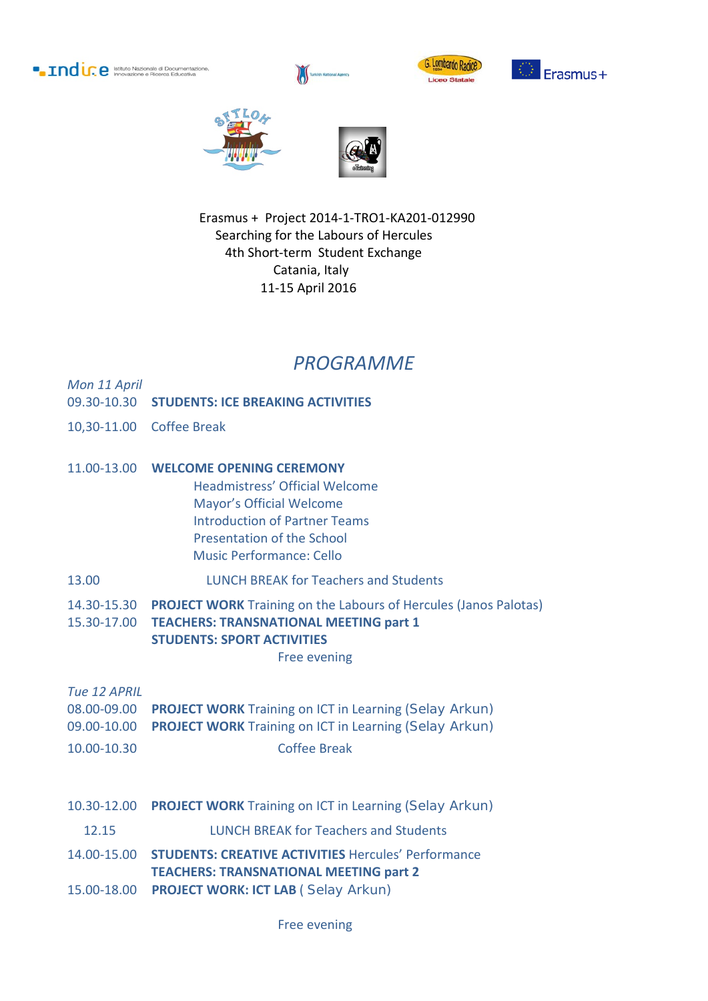**• Indir. e** Istituto Nazionale di Documentazi











 Erasmus + Project 2014-1-TRO1-KA201-012990 Searching for the Labours of Hercules 4th Short-term Student Exchange Catania, Italy 11-15 April 2016

## *PROGRAMME*

*Mon 11 April*

- 09.30-10.30 **STUDENTS: ICE BREAKING ACTIVITIES**
- 10,30-11.00 Coffee Break
- 11.00-13.00 **WELCOME OPENING CEREMONY**
	- Headmistress' Official Welcome Mayor's Official Welcome Introduction of Partner Teams Presentation of the School Music Performance: Cello
- 13.00 LUNCH BREAK for Teachers and Students
- 14.30-15.30 **PROJECT WORK** Training on the Labours of Hercules (Janos Palotas) 15.30-17.00 **TEACHERS: TRANSNATIONAL MEETING part 1 STUDENTS: SPORT ACTIVITIES** 
	-

Free evening

*Tue 12 APRIL*

- 08.00-09.00 **PROJECT WORK** Training on ICT in Learning (Selay Arkun) 09.00-10.00 **PROJECT WORK** Training on ICT in Learning (Selay Arkun)
- 10.00-10.30 Coffee Break
- 10.30-12.00 **PROJECT WORK** Training on ICT in Learning (Selay Arkun)
- 12.15 LUNCH BREAK for Teachers and Students
- 14.00-15.00 **STUDENTS: CREATIVE ACTIVITIES** Hercules' Performance **TEACHERS: TRANSNATIONAL MEETING part 2**
- 15.00-18.00 **PROJECT WORK: ICT LAB** ( Selay Arkun)